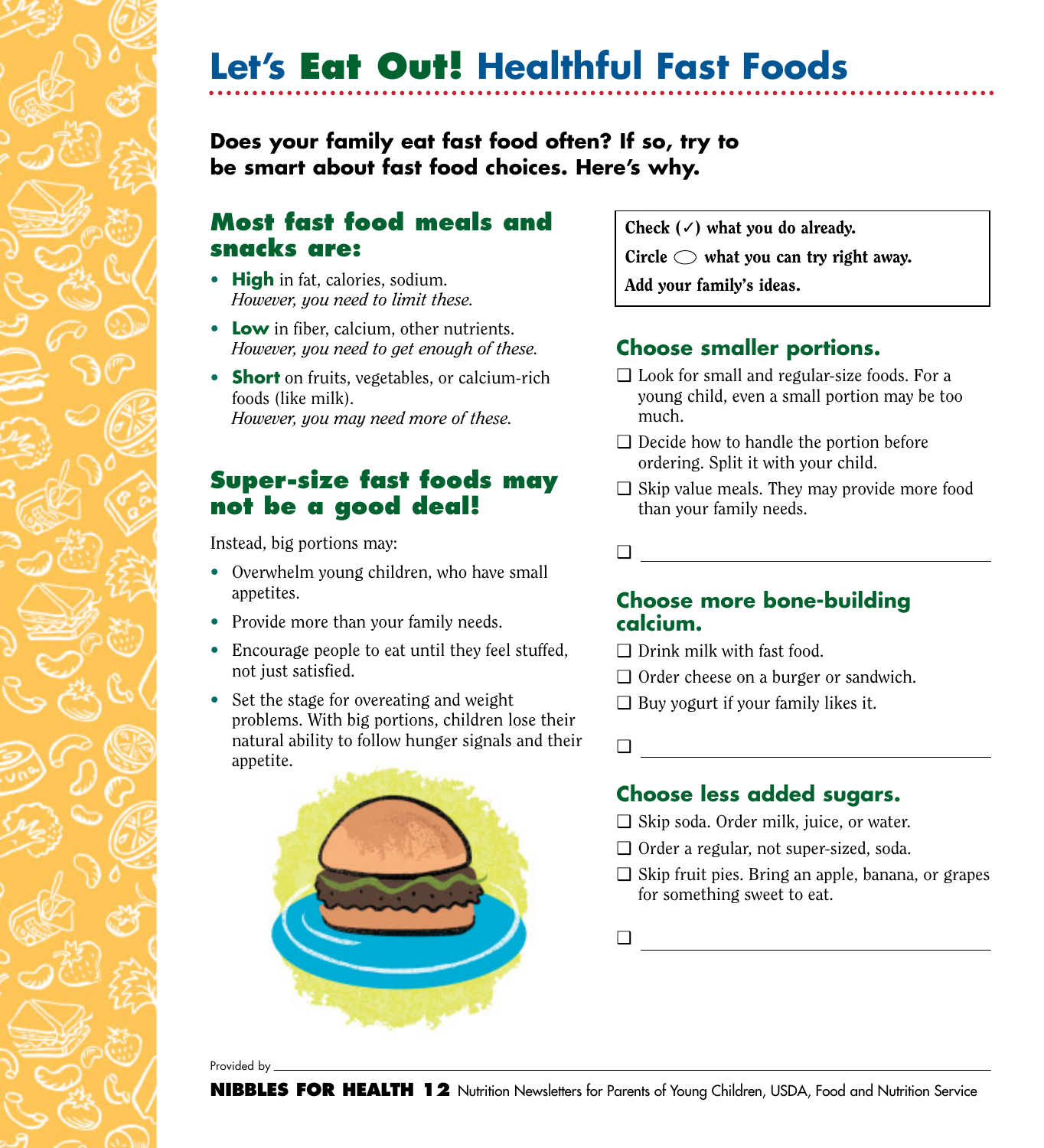**Let's Eat Out! Healthful Fast Foods**

## **Does your family eat fast food often? If so, try to be smart about fast food choices. Here's why.**

## **Most fast food meals and snacks are:**

- **High** in fat, calories, sodium. *However, you need to limit these.*
- **Low** in fiber, calcium, other nutrients. *However, you need to get enough of these.*
- **Short** on fruits, vegetables, or calcium-rich foods (like milk). *However, you may need more of these.*

## **Super-size fast foods may not be a good deal!**

Instead, big portions may:

- Overwhelm young children, who have small appetites.
- Provide more than your family needs.
- Encourage people to eat until they feel stuffed, not just satisfied.
- Set the stage for overeating and weight problems. With big portions, children lose their natural ability to follow hunger signals and their appetite.



Check  $(\checkmark)$  what you do already. Circle  $\bigcirc$  what you can try right away. Add your family's ideas.

## **Choose smaller portions.**

- ❑ Look for small and regular-size foods. For a young child, even a small portion may be too much.
- ❑ Decide how to handle the portion before ordering. Split it with your child.
- $\Box$  Skip value meals. They may provide more food than your family needs.
- ❑

#### **Choose more bone-building calcium.**

- ❑ Drink milk with fast food.
- ❑ Order cheese on a burger or sandwich.
- ❑ Buy yogurt if your family likes it.
- ❑

### **Choose less added sugars.**

- ❑ Skip soda. Order milk, juice, or water.
- ❑ Order a regular, not super-sized, soda.
- ❑ Skip fruit pies. Bring an apple, banana, or grapes for something sweet to eat.

❑

Provided by